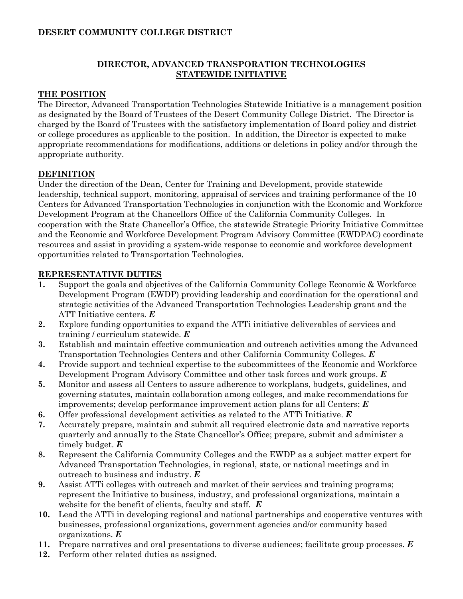# **DESERT COMMUNITY COLLEGE DISTRICT**

# **DIRECTOR, ADVANCED TRANSPORATION TECHNOLOGIES STATEWIDE INITIATIVE**

### **THE POSITION**

The Director, Advanced Transportation Technologies Statewide Initiative is a management position as designated by the Board of Trustees of the Desert Community College District. The Director is charged by the Board of Trustees with the satisfactory implementation of Board policy and district or college procedures as applicable to the position. In addition, the Director is expected to make appropriate recommendations for modifications, additions or deletions in policy and/or through the appropriate authority.

### **DEFINITION**

Under the direction of the Dean, Center for Training and Development, provide statewide leadership, technical support, monitoring, appraisal of services and training performance of the 10 Centers for Advanced Transportation Technologies in conjunction with the Economic and Workforce Development Program at the Chancellors Office of the California Community Colleges. In cooperation with the State Chancellor's Office, the statewide Strategic Priority Initiative Committee and the Economic and Workforce Development Program Advisory Committee (EWDPAC) coordinate resources and assist in providing a system-wide response to economic and workforce development opportunities related to Transportation Technologies.

#### **REPRESENTATIVE DUTIES**

- **1.** Support the goals and objectives of the California Community College Economic & Workforce Development Program (EWDP) providing leadership and coordination for the operational and strategic activities of the Advanced Transportation Technologies Leadership grant and the ATT Initiative centers. *E*
- **2.** Explore funding opportunities to expand the ATTi initiative deliverables of services and training / curriculum statewide. *E*
- **3.** Establish and maintain effective communication and outreach activities among the Advanced Transportation Technologies Centers and other California Community Colleges. *E*
- **4.** Provide support and technical expertise to the subcommittees of the Economic and Workforce Development Program Advisory Committee and other task forces and work groups. *E*
- **5.** Monitor and assess all Centers to assure adherence to workplans, budgets, guidelines, and governing statutes, maintain collaboration among colleges, and make recommendations for improvements; develop performance improvement action plans for all Centers; *E*
- **6.** Offer professional development activities as related to the ATTi Initiative. *E*
- **7.** Accurately prepare, maintain and submit all required electronic data and narrative reports quarterly and annually to the State Chancellor's Office; prepare, submit and administer a timely budget. *E*
- **8.** Represent the California Community Colleges and the EWDP as a subject matter expert for Advanced Transportation Technologies, in regional, state, or national meetings and in outreach to business and industry. *E*
- **9.** Assist ATTi colleges with outreach and market of their services and training programs; represent the Initiative to business, industry, and professional organizations, maintain a website for the benefit of clients, faculty and staff. *E*
- **10.** Lead the ATTi in developing regional and national partnerships and cooperative ventures with businesses, professional organizations, government agencies and/or community based organizations. *E*
- **11.** Prepare narratives and oral presentations to diverse audiences; facilitate group processes. *E*
- **12.** Perform other related duties as assigned.